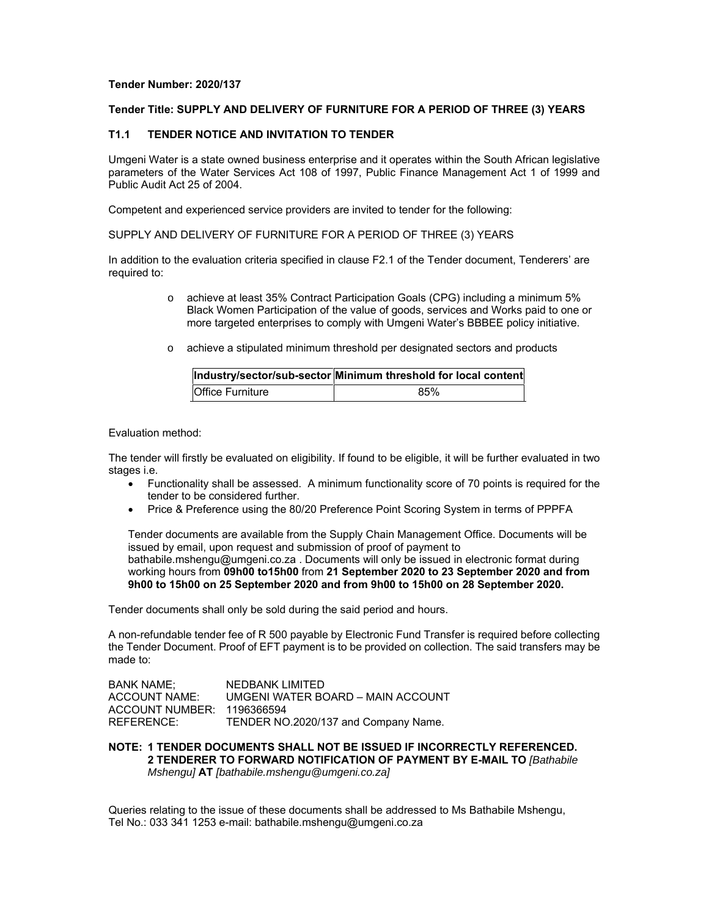# **Tender Number: 2020/137**

# **Tender Title: SUPPLY AND DELIVERY OF FURNITURE FOR A PERIOD OF THREE (3) YEARS**

# **T1.1 TENDER NOTICE AND INVITATION TO TENDER**

Umgeni Water is a state owned business enterprise and it operates within the South African legislative parameters of the Water Services Act 108 of 1997, Public Finance Management Act 1 of 1999 and Public Audit Act 25 of 2004.

Competent and experienced service providers are invited to tender for the following:

SUPPLY AND DELIVERY OF FURNITURE FOR A PERIOD OF THREE (3) YEARS

In addition to the evaluation criteria specified in clause F2.1 of the Tender document, Tenderers' are required to:

- o achieve at least 35% Contract Participation Goals (CPG) including a minimum 5% Black Women Participation of the value of goods, services and Works paid to one or more targeted enterprises to comply with Umgeni Water's BBBEE policy initiative.
- o achieve a stipulated minimum threshold per designated sectors and products

|                         | Industry/sector/sub-sector Minimum threshold for local content |
|-------------------------|----------------------------------------------------------------|
| <b>Office Furniture</b> | 85%                                                            |

Evaluation method:

The tender will firstly be evaluated on eligibility. If found to be eligible, it will be further evaluated in two stages i.e.

- Functionality shall be assessed. A minimum functionality score of 70 points is required for the tender to be considered further.
- Price & Preference using the 80/20 Preference Point Scoring System in terms of PPPFA

Tender documents are available from the Supply Chain Management Office. Documents will be issued by email, upon request and submission of proof of payment to bathabile.mshengu@umgeni.co.za . Documents will only be issued in electronic format during working hours from **09h00 to15h00** from **21 September 2020 to 23 September 2020 and from 9h00 to 15h00 on 25 September 2020 and from 9h00 to 15h00 on 28 September 2020.** 

Tender documents shall only be sold during the said period and hours.

A non-refundable tender fee of R 500 payable by Electronic Fund Transfer is required before collecting the Tender Document. Proof of EFT payment is to be provided on collection. The said transfers may be made to:

| <b>BANK NAME:</b>          | NEDBANK LIMITED                      |
|----------------------------|--------------------------------------|
| ACCOUNT NAME:              | UMGENI WATER BOARD - MAIN ACCOUNT    |
| ACCOUNT NUMBER: 1196366594 |                                      |
| REFERENCE:                 | TENDER NO.2020/137 and Company Name. |

**NOTE: 1 TENDER DOCUMENTS SHALL NOT BE ISSUED IF INCORRECTLY REFERENCED. 2 TENDERER TO FORWARD NOTIFICATION OF PAYMENT BY E-MAIL TO** *[Bathabile Mshengu]* **AT** *[bathabile.mshengu@umgeni.co.za]* 

Queries relating to the issue of these documents shall be addressed to Ms Bathabile Mshengu, Tel No.: 033 341 1253 e-mail: bathabile.mshengu@umgeni.co.za